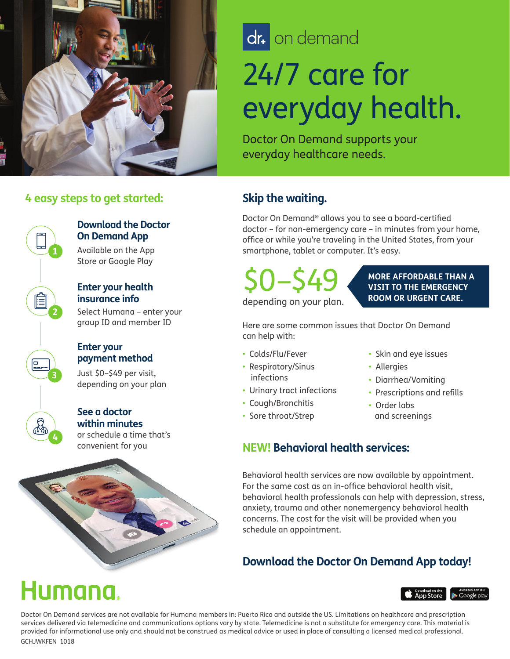

# dr. on demand

# 24/7 care for everyday health.

Doctor On Demand supports your everyday healthcare needs.

#### **4 easy steps to get started:**



#### **Download the Doctor On Demand App**

Available on the App Store or Google Play

#### **Enter your health insurance info**

Select Humana – enter your group ID and member ID

#### **Enter your payment method**

Just \$0–\$49 per visit, depending on your plan

#### or schedule a time that's **See a doctor within minutes**

convenient for you



### **Skip the waiting.**

Doctor On Demand® allows you to see a board-certified doctor – for non-emergency care – in minutes from your home, office or while you're traveling in the United States, from your smartphone, tablet or computer. It's easy.

\$0–\$49 depending on your plan.

**MORE AFFORDABLE THAN A VISIT TO THE EMERGENCY ROOM OR URGENT CARE.**

Here are some common issues that Doctor On Demand can help with:

- Colds/Flu/Fever
- Respiratory/Sinus infections
- Urinary tract infections
- Cough/Bronchitis
- Sore throat/Strep
- Skin and eye issues
- Allergies
- Diarrhea/Vomiting
- Prescriptions and refills
- Order labs and screenings

### **NEW! Behavioral health services:**

Behavioral health services are now available by appointment. For the same cost as an in-office behavioral health visit, behavioral health professionals can help with depression, stress, anxiety, trauma and other nonemergency behavioral health concerns. The cost for the visit will be provided when you schedule an appointment.

## **Download the Doctor On Demand App today!**

# lumana



Doctor On Demand services are not available for Humana members in: Puerto Rico and outside the US. Limitations on healthcare and prescription services delivered via telemedicine and communications options vary by state. Telemedicine is not a substitute for emergency care. This material is provided for informational use only and should not be construed as medical advice or used in place of consulting a licensed medical professional. GCHJWKFEN 1018